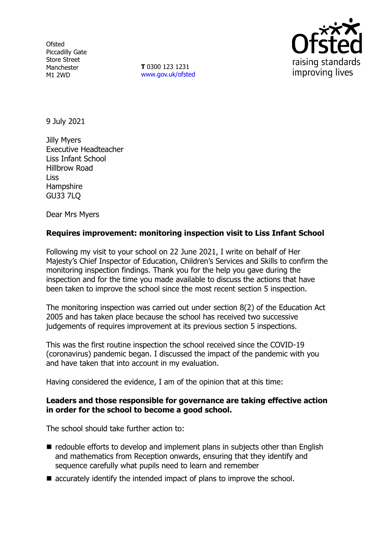**Ofsted** Piccadilly Gate Store Street Manchester M1 2WD

**T** 0300 123 1231 [www.gov.uk/ofsted](http://www.gov.uk/ofsted)



9 July 2021

Jilly Myers Executive Headteacher Liss Infant School Hillbrow Road **Liss Hampshire** GU33 7LQ

Dear Mrs Myers

## **Requires improvement: monitoring inspection visit to Liss Infant School**

Following my visit to your school on 22 June 2021, I write on behalf of Her Majesty's Chief Inspector of Education, Children's Services and Skills to confirm the monitoring inspection findings. Thank you for the help you gave during the inspection and for the time you made available to discuss the actions that have been taken to improve the school since the most recent section 5 inspection.

The monitoring inspection was carried out under section 8(2) of the Education Act 2005 and has taken place because the school has received two successive judgements of requires improvement at its previous section 5 inspections.

This was the first routine inspection the school received since the COVID-19 (coronavirus) pandemic began. I discussed the impact of the pandemic with you and have taken that into account in my evaluation.

Having considered the evidence, I am of the opinion that at this time:

### **Leaders and those responsible for governance are taking effective action in order for the school to become a good school.**

The school should take further action to:

- redouble efforts to develop and implement plans in subjects other than English and mathematics from Reception onwards, ensuring that they identify and sequence carefully what pupils need to learn and remember
- accurately identify the intended impact of plans to improve the school.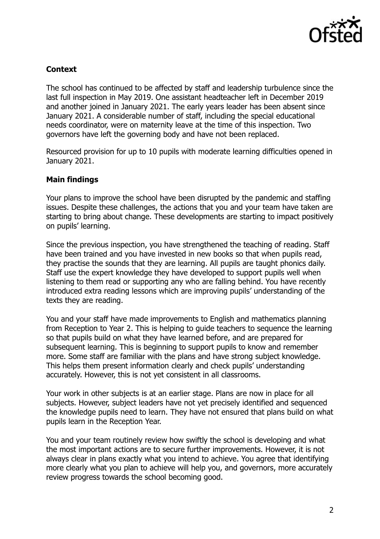

# **Context**

The school has continued to be affected by staff and leadership turbulence since the last full inspection in May 2019. One assistant headteacher left in December 2019 and another joined in January 2021. The early years leader has been absent since January 2021. A considerable number of staff, including the special educational needs coordinator, were on maternity leave at the time of this inspection. Two governors have left the governing body and have not been replaced.

Resourced provision for up to 10 pupils with moderate learning difficulties opened in January 2021.

## **Main findings**

Your plans to improve the school have been disrupted by the pandemic and staffing issues. Despite these challenges, the actions that you and your team have taken are starting to bring about change. These developments are starting to impact positively on pupils' learning.

Since the previous inspection, you have strengthened the teaching of reading. Staff have been trained and you have invested in new books so that when pupils read, they practise the sounds that they are learning. All pupils are taught phonics daily. Staff use the expert knowledge they have developed to support pupils well when listening to them read or supporting any who are falling behind. You have recently introduced extra reading lessons which are improving pupils' understanding of the texts they are reading.

You and your staff have made improvements to English and mathematics planning from Reception to Year 2. This is helping to guide teachers to sequence the learning so that pupils build on what they have learned before, and are prepared for subsequent learning. This is beginning to support pupils to know and remember more. Some staff are familiar with the plans and have strong subject knowledge. This helps them present information clearly and check pupils' understanding accurately. However, this is not yet consistent in all classrooms.

Your work in other subjects is at an earlier stage. Plans are now in place for all subjects. However, subject leaders have not yet precisely identified and sequenced the knowledge pupils need to learn. They have not ensured that plans build on what pupils learn in the Reception Year.

You and your team routinely review how swiftly the school is developing and what the most important actions are to secure further improvements. However, it is not always clear in plans exactly what you intend to achieve. You agree that identifying more clearly what you plan to achieve will help you, and governors, more accurately review progress towards the school becoming good.